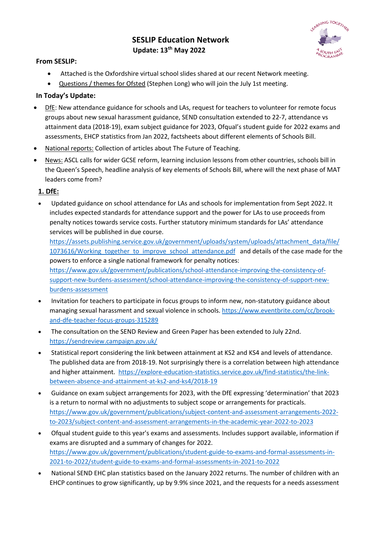# **SESLIP Education Network Update: 13th May 2022**



#### **From SESLIP:**

- Attached is the Oxfordshire virtual school slides shared at our recent Network meeting.
- Questions / themes for Ofsted (Stephen Long) who will join the July 1st meeting.

### **In Today's Update:**

- DfE: New attendance guidance for schools and LAs, request for teachers to volunteer for remote focus groups about new sexual harassment guidance, SEND consultation extended to 22-7, attendance vs attainment data (2018-19), exam subject guidance for 2023, Ofqual's student guide for 2022 exams and assessments, EHCP statistics from Jan 2022, factsheets about different elements of Schools Bill.
- National reports: Collection of articles about The Future of Teaching.
- News: ASCL calls for wider GCSE reform, learning inclusion lessons from other countries, schools bill in the Queen's Speech, headline analysis of key elements of Schools Bill, where will the next phase of MAT leaders come from?

## **1. DfE:**

• Updated guidance on school attendance for LAs and schools for implementation from Sept 2022. It includes expected standards for attendance support and the power for LAs to use proceeds from penalty notices towards service costs. Further statutory minimum standards for LAs' attendance services will be published in due course.

https://assets.publishing.service.gov.uk/government/uploads/system/uploads/attachment\_data/file/ 1073616/Working\_together\_to\_improve\_school\_attendance.pdf and details of the case made for the powers to enforce a single national framework for penalty notices:

https://www.gov.uk/government/publications/school-attendance-improving-the-consistency-ofsupport-new-burdens-assessment/school-attendance-improving-the-consistency-of-support-newburdens-assessment

- Invitation for teachers to participate in focus groups to inform new, non-statutory guidance about managing sexual harassment and sexual violence in schools. https://www.eventbrite.com/cc/brookand-dfe-teacher-focus-groups-315289
- The consultation on the SEND Review and Green Paper has been extended to July 22nd. https://sendreview.campaign.gov.uk/
- Statistical report considering the link between attainment at KS2 and KS4 and levels of attendance. The published data are from 2018-19. Not surprisingly there is a correlation between high attendance and higher attainment. https://explore-education-statistics.service.gov.uk/find-statistics/the-linkbetween-absence-and-attainment-at-ks2-and-ks4/2018-19
- Guidance on exam subject arrangements for 2023, with the DfE expressing 'determination' that 2023 is a return to normal with no adjustments to subject scope or arrangements for practicals. https://www.gov.uk/government/publications/subject-content-and-assessment-arrangements-2022 to-2023/subject-content-and-assessment-arrangements-in-the-academic-year-2022-to-2023
- Ofqual student guide to this year's exams and assessments. Includes support available, information if exams are disrupted and a summary of changes for 2022. https://www.gov.uk/government/publications/student-guide-to-exams-and-formal-assessments-in-2021-to-2022/student-guide-to-exams-and-formal-assessments-in-2021-to-2022
- National SEND EHC plan statistics based on the January 2022 returns. The number of children with an EHCP continues to grow significantly, up by 9.9% since 2021, and the requests for a needs assessment